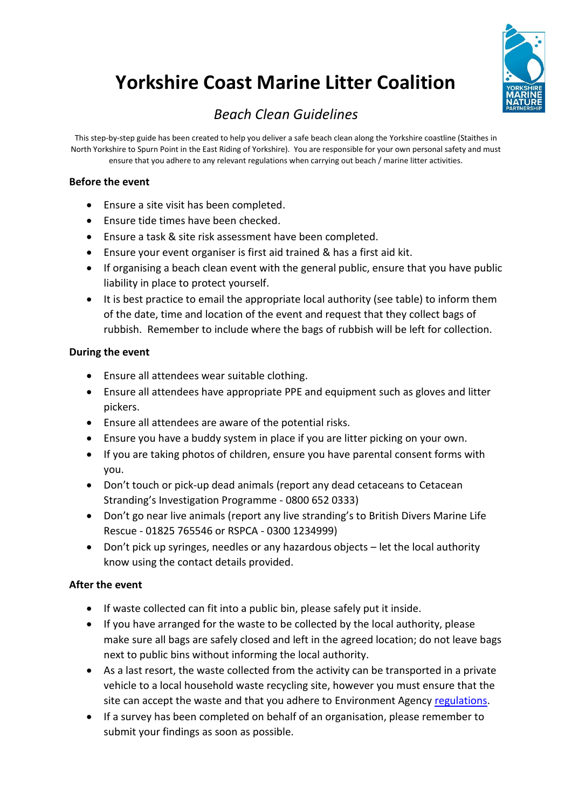# **Yorkshire Coast Marine Litter Coalition**



## *Beach Clean Guidelines*

This step-by-step guide has been created to help you deliver a safe beach clean along the Yorkshire coastline (Staithes in North Yorkshire to Spurn Point in the East Riding of Yorkshire). You are responsible for your own personal safety and must ensure that you adhere to any relevant regulations when carrying out beach / marine litter activities.

### **Before the event**

- Ensure a site visit has been completed.
- Ensure tide times have been checked.
- Ensure a task & site risk assessment have been completed.
- Ensure your event organiser is first aid trained & has a first aid kit.
- If organising a beach clean event with the general public, ensure that you have public liability in place to protect yourself.
- It is best practice to email the appropriate local authority (see table) to inform them of the date, time and location of the event and request that they collect bags of rubbish. Remember to include where the bags of rubbish will be left for collection.

### **During the event**

- Ensure all attendees wear suitable clothing.
- Ensure all attendees have appropriate PPE and equipment such as gloves and litter pickers.
- Ensure all attendees are aware of the potential risks.
- Ensure you have a buddy system in place if you are litter picking on your own.
- If you are taking photos of children, ensure you have parental consent forms with you.
- Don't touch or pick-up dead animals (report any dead cetaceans to Cetacean Stranding's Investigation Programme - 0800 652 0333)
- Don't go near live animals (report any live stranding's to British Divers Marine Life Rescue - 01825 765546 or RSPCA - 0300 1234999)
- Don't pick up syringes, needles or any hazardous objects let the local authority know using the contact details provided.

### **After the event**

- If waste collected can fit into a public bin, please safely put it inside.
- If you have arranged for the waste to be collected by the local authority, please make sure all bags are safely closed and left in the agreed location; do not leave bags next to public bins without informing the local authority.
- As a last resort, the waste collected from the activity can be transported in a private vehicle to a local household waste recycling site, however you must ensure that the site can accept the waste and that you adhere to Environment Agency [regulations.](https://www.gov.uk/government/publications/relaxing-certain-waste-regulatory-requirements-for-volunteers-and-waste-sites-involved-in-voluntary-litter-collection-rps-212)
- If a survey has been completed on behalf of an organisation, please remember to submit your findings as soon as possible.